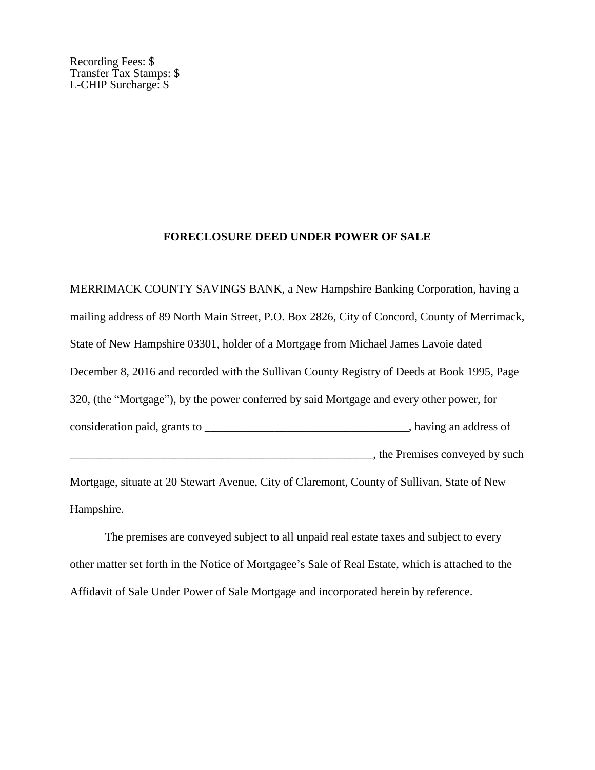Recording Fees: \$ Transfer Tax Stamps: \$ L-CHIP Surcharge: \$

## **FORECLOSURE DEED UNDER POWER OF SALE**

MERRIMACK COUNTY SAVINGS BANK, a New Hampshire Banking Corporation, having a mailing address of 89 North Main Street, P.O. Box 2826, City of Concord, County of Merrimack, State of New Hampshire 03301, holder of a Mortgage from Michael James Lavoie dated December 8, 2016 and recorded with the Sullivan County Registry of Deeds at Book 1995, Page 320, (the "Mortgage"), by the power conferred by said Mortgage and every other power, for consideration paid, grants to \_\_\_\_\_\_\_\_\_\_\_\_\_\_\_\_\_\_\_\_\_\_\_\_\_\_\_\_\_\_, having an address of  $\blacksquare$ , the Premises conveyed by such Mortgage, situate at 20 Stewart Avenue, City of Claremont, County of Sullivan, State of New

Hampshire.

The premises are conveyed subject to all unpaid real estate taxes and subject to every other matter set forth in the Notice of Mortgagee's Sale of Real Estate, which is attached to the Affidavit of Sale Under Power of Sale Mortgage and incorporated herein by reference.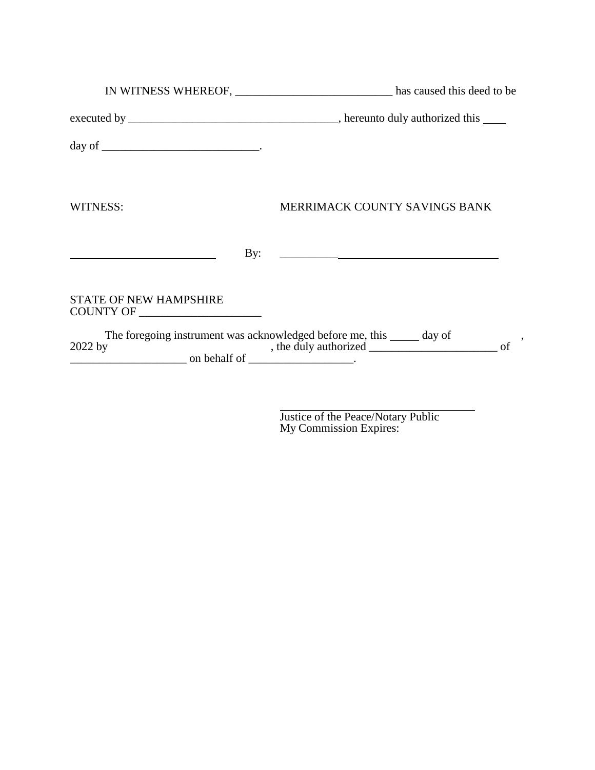|                                                                                                 | IN WITNESS WHEREOF, _________________________________ has caused this deed to be |
|-------------------------------------------------------------------------------------------------|----------------------------------------------------------------------------------|
|                                                                                                 |                                                                                  |
|                                                                                                 |                                                                                  |
| WITNESS:                                                                                        | MERRIMACK COUNTY SAVINGS BANK                                                    |
| By:                                                                                             | <u> 1980 - Andrea Andrew Maria (h. 1980).</u>                                    |
| <b>STATE OF NEW HAMPSHIRE</b>                                                                   |                                                                                  |
| $2022$ by<br>$\frac{1}{\sqrt{1-\frac{1}{2}}}\$ on behalf of $\frac{1}{\sqrt{1-\frac{1}{2}}}\$ . | The foregoing instrument was acknowledged before me, this ______ day of          |

 $\overline{a}$ Justice of the Peace/Notary Public My Commission Expires: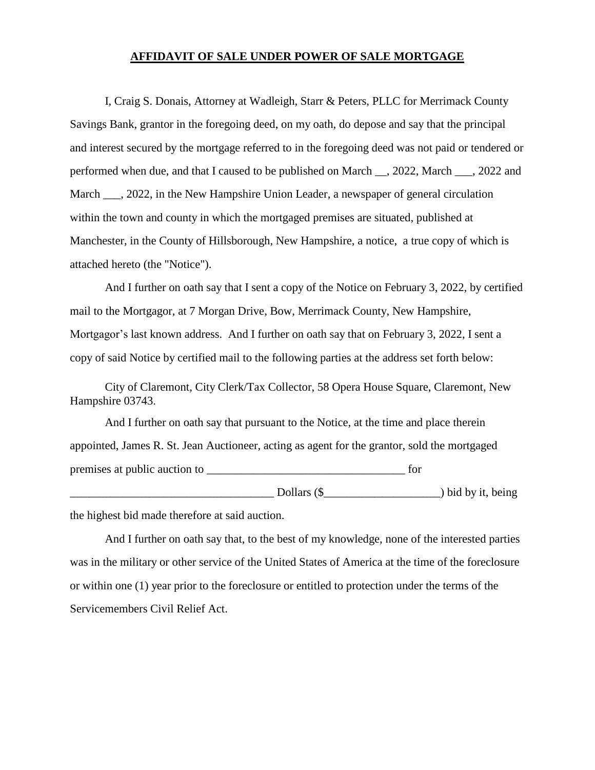## **AFFIDAVIT OF SALE UNDER POWER OF SALE MORTGAGE**

I, Craig S. Donais, Attorney at Wadleigh, Starr & Peters, PLLC for Merrimack County Savings Bank, grantor in the foregoing deed, on my oath, do depose and say that the principal and interest secured by the mortgage referred to in the foregoing deed was not paid or tendered or performed when due, and that I caused to be published on March \_\_, 2022, March \_\_\_, 2022 and March \_\_\_, 2022, in the New Hampshire Union Leader, a newspaper of general circulation within the town and county in which the mortgaged premises are situated, published at Manchester, in the County of Hillsborough, New Hampshire, a notice, a true copy of which is attached hereto (the "Notice").

And I further on oath say that I sent a copy of the Notice on February 3, 2022, by certified mail to the Mortgagor, at 7 Morgan Drive, Bow, Merrimack County, New Hampshire, Mortgagor's last known address. And I further on oath say that on February 3, 2022, I sent a copy of said Notice by certified mail to the following parties at the address set forth below:

City of Claremont, City Clerk/Tax Collector, 58 Opera House Square, Claremont, New Hampshire 03743.

And I further on oath say that pursuant to the Notice, at the time and place therein appointed, James R. St. Jean Auctioneer, acting as agent for the grantor, sold the mortgaged premises at public auction to  $\Box$ \_\_\_\_\_\_\_\_\_\_\_\_\_\_\_\_\_\_\_\_\_\_\_\_\_\_\_\_\_\_\_\_\_\_\_ Dollars (\$\_\_\_\_\_\_\_\_\_\_\_\_\_\_\_\_\_\_\_\_) bid by it, being

the highest bid made therefore at said auction.

And I further on oath say that, to the best of my knowledge, none of the interested parties was in the military or other service of the United States of America at the time of the foreclosure or within one (1) year prior to the foreclosure or entitled to protection under the terms of the Servicemembers Civil Relief Act.